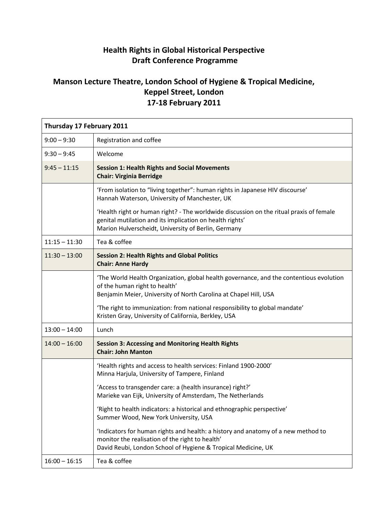## **Health Rights in Global Historical Perspective Draft Conference Programme**

## **Manson Lecture Theatre, London School of Hygiene & Tropical Medicine, Keppel Street, London 17-18 February 2011**

| Thursday 17 February 2011 |                                                                                                                                                                                                            |  |
|---------------------------|------------------------------------------------------------------------------------------------------------------------------------------------------------------------------------------------------------|--|
| $9:00 - 9:30$             | Registration and coffee                                                                                                                                                                                    |  |
| $9:30 - 9:45$             | Welcome                                                                                                                                                                                                    |  |
| $9:45 - 11:15$            | <b>Session 1: Health Rights and Social Movements</b><br><b>Chair: Virginia Berridge</b>                                                                                                                    |  |
|                           | 'From isolation to "living together": human rights in Japanese HIV discourse'<br>Hannah Waterson, University of Manchester, UK                                                                             |  |
|                           | 'Health right or human right? - The worldwide discussion on the ritual praxis of female<br>genital mutilation and its implication on health rights'<br>Marion Hulverscheidt, University of Berlin, Germany |  |
| $11:15 - 11:30$           | Tea & coffee                                                                                                                                                                                               |  |
| $11:30 - 13:00$           | <b>Session 2: Health Rights and Global Politics</b><br><b>Chair: Anne Hardy</b>                                                                                                                            |  |
|                           | 'The World Health Organization, global health governance, and the contentious evolution<br>of the human right to health'<br>Benjamin Meier, University of North Carolina at Chapel Hill, USA               |  |
|                           | 'The right to immunization: from national responsibility to global mandate'<br>Kristen Gray, University of California, Berkley, USA                                                                        |  |
| $13:00 - 14:00$           | Lunch                                                                                                                                                                                                      |  |
| $14:00 - 16:00$           | <b>Session 3: Accessing and Monitoring Health Rights</b><br><b>Chair: John Manton</b>                                                                                                                      |  |
|                           | 'Health rights and access to health services: Finland 1900-2000'<br>Minna Harjula, University of Tampere, Finland                                                                                          |  |
|                           | 'Access to transgender care: a (health insurance) right?'<br>Marieke van Eijk, University of Amsterdam, The Netherlands                                                                                    |  |
|                           | 'Right to health indicators: a historical and ethnographic perspective'<br>Summer Wood, New York University, USA                                                                                           |  |
|                           | 'Indicators for human rights and health: a history and anatomy of a new method to<br>monitor the realisation of the right to health'<br>David Reubi, London School of Hygiene & Tropical Medicine, UK      |  |
| $16:00 - 16:15$           | Tea & coffee                                                                                                                                                                                               |  |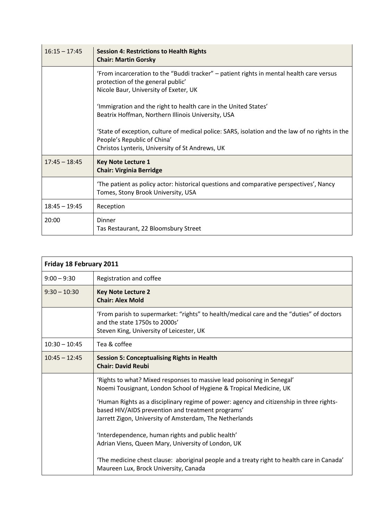| $16:15 - 17:45$ | <b>Session 4: Restrictions to Health Rights</b><br><b>Chair: Martin Gorsky</b>                                                                                                    |
|-----------------|-----------------------------------------------------------------------------------------------------------------------------------------------------------------------------------|
|                 | 'From incarceration to the "Buddi tracker" – patient rights in mental health care versus<br>protection of the general public'<br>Nicole Baur, University of Exeter, UK            |
|                 | 'Immigration and the right to health care in the United States'<br>Beatrix Hoffman, Northern Illinois University, USA                                                             |
|                 | 'State of exception, culture of medical police: SARS, isolation and the law of no rights in the<br>People's Republic of China'<br>Christos Lynteris, University of St Andrews, UK |
| $17:45 - 18:45$ | <b>Key Note Lecture 1</b><br><b>Chair: Virginia Berridge</b>                                                                                                                      |
|                 | 'The patient as policy actor: historical questions and comparative perspectives', Nancy<br>Tomes, Stony Brook University, USA                                                     |
| $18:45 - 19:45$ | Reception                                                                                                                                                                         |
| 20:00           | Dinner<br>Tas Restaurant, 22 Bloomsbury Street                                                                                                                                    |

| Friday 18 February 2011 |                                                                                                                                                                                                                                                                                                                                                                                                                                                                                                                                                                                                            |  |
|-------------------------|------------------------------------------------------------------------------------------------------------------------------------------------------------------------------------------------------------------------------------------------------------------------------------------------------------------------------------------------------------------------------------------------------------------------------------------------------------------------------------------------------------------------------------------------------------------------------------------------------------|--|
| $9:00 - 9:30$           | Registration and coffee                                                                                                                                                                                                                                                                                                                                                                                                                                                                                                                                                                                    |  |
| $9:30 - 10:30$          | <b>Key Note Lecture 2</b><br><b>Chair: Alex Mold</b>                                                                                                                                                                                                                                                                                                                                                                                                                                                                                                                                                       |  |
|                         | 'From parish to supermarket: "rights" to health/medical care and the "duties" of doctors<br>and the state 1750s to 2000s'<br>Steven King, University of Leicester, UK                                                                                                                                                                                                                                                                                                                                                                                                                                      |  |
| $10:30 - 10:45$         | Tea & coffee                                                                                                                                                                                                                                                                                                                                                                                                                                                                                                                                                                                               |  |
| $10:45 - 12:45$         | <b>Session 5: Conceptualising Rights in Health</b><br><b>Chair: David Reubi</b>                                                                                                                                                                                                                                                                                                                                                                                                                                                                                                                            |  |
|                         | 'Rights to what? Mixed responses to massive lead poisoning in Senegal'<br>Noemi Tousignant, London School of Hygiene & Tropical Medicine, UK<br>'Human Rights as a disciplinary regime of power: agency and citizenship in three rights-<br>based HIV/AIDS prevention and treatment programs'<br>Jarrett Zigon, University of Amsterdam, The Netherlands<br>'Interdependence, human rights and public health'<br>Adrian Viens, Queen Mary, University of London, UK<br>'The medicine chest clause: aboriginal people and a treaty right to health care in Canada'<br>Maureen Lux, Brock University, Canada |  |